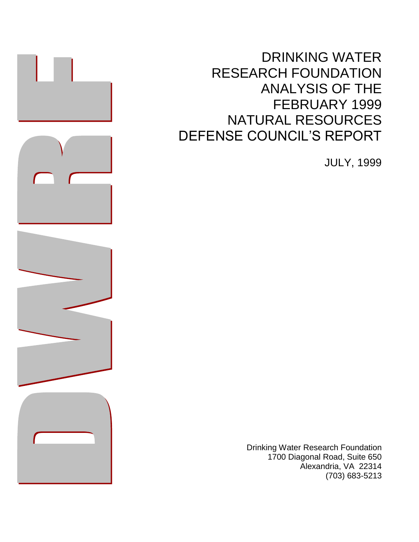DRINKING WATER RESEARCH FOUNDATION ANALYSIS OF THE FEBRUARY 1999 NATURAL RESOURCES DEFENSE COUNCIL'S REPORT

JULY, 1999

Drinking Water Research Foundation 1700 Diagonal Road, Suite 650 Alexandria, VA 22314 (703) 683-5213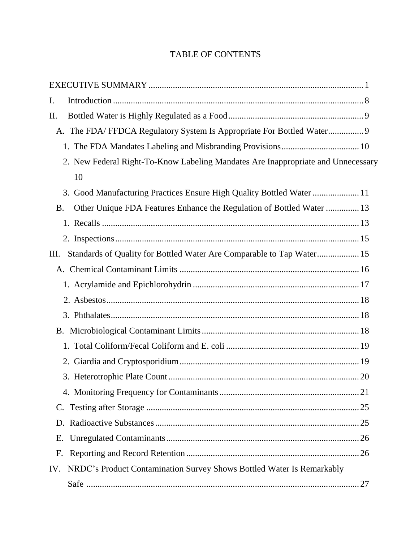# TABLE OF CONTENTS

| I.                                                                                 |  |
|------------------------------------------------------------------------------------|--|
| II.                                                                                |  |
| A. The FDA/FFDCA Regulatory System Is Appropriate For Bottled Water 9              |  |
|                                                                                    |  |
| 2. New Federal Right-To-Know Labeling Mandates Are Inappropriate and Unnecessary   |  |
| 10                                                                                 |  |
| 3. Good Manufacturing Practices Ensure High Quality Bottled Water  11              |  |
| Other Unique FDA Features Enhance the Regulation of Bottled Water  13<br><b>B.</b> |  |
|                                                                                    |  |
|                                                                                    |  |
| Standards of Quality for Bottled Water Are Comparable to Tap Water 15<br>Ш.        |  |
|                                                                                    |  |
|                                                                                    |  |
|                                                                                    |  |
|                                                                                    |  |
|                                                                                    |  |
|                                                                                    |  |
|                                                                                    |  |
|                                                                                    |  |
|                                                                                    |  |
|                                                                                    |  |
| D.                                                                                 |  |
| E.                                                                                 |  |
| F.                                                                                 |  |
| NRDC's Product Contamination Survey Shows Bottled Water Is Remarkably<br>IV.       |  |
|                                                                                    |  |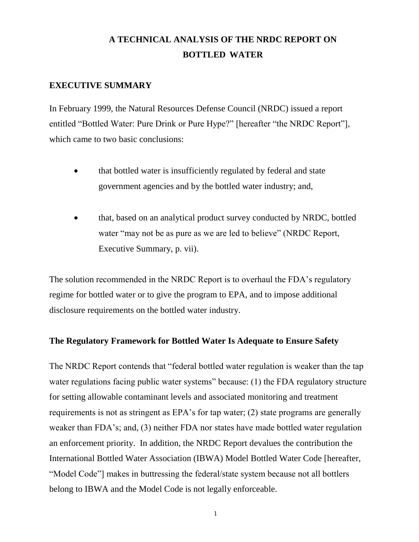# **A TECHNICAL ANALYSIS OF THE NRDC REPORT ON BOTTLED WATER**

# **EXECUTIVE SUMMARY**

In February 1999, the Natural Resources Defense Council (NRDC) issued a report entitled "Bottled Water: Pure Drink or Pure Hype?" [hereafter "the NRDC Report"], which came to two basic conclusions:

- that bottled water is insufficiently regulated by federal and state government agencies and by the bottled water industry; and,
- that, based on an analytical product survey conducted by NRDC, bottled water "may not be as pure as we are led to believe" (NRDC Report, Executive Summary, p. vii).

The solution recommended in the NRDC Report is to overhaul the FDA's regulatory regime for bottled water or to give the program to EPA, and to impose additional disclosure requirements on the bottled water industry.

# **The Regulatory Framework for Bottled Water Is Adequate to Ensure Safety**

The NRDC Report contends that "federal bottled water regulation is weaker than the tap water regulations facing public water systems" because: (1) the FDA regulatory structure for setting allowable contaminant levels and associated monitoring and treatment requirements is not as stringent as EPA's for tap water; (2) state programs are generally weaker than FDA's; and, (3) neither FDA nor states have made bottled water regulation an enforcement priority. In addition, the NRDC Report devalues the contribution the International Bottled Water Association (IBWA) Model Bottled Water Code [hereafter, "Model Code"] makes in buttressing the federal/state system because not all bottlers belong to IBWA and the Model Code is not legally enforceable.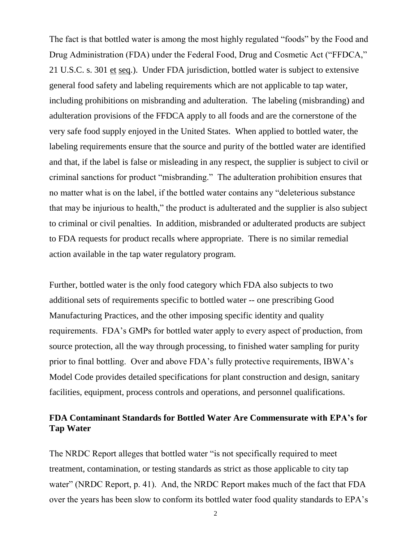The fact is that bottled water is among the most highly regulated "foods" by the Food and Drug Administration (FDA) under the Federal Food, Drug and Cosmetic Act ("FFDCA," 21 U.S.C. s. 301 et seq.). Under FDA jurisdiction, bottled water is subject to extensive general food safety and labeling requirements which are not applicable to tap water, including prohibitions on misbranding and adulteration. The labeling (misbranding) and adulteration provisions of the FFDCA apply to all foods and are the cornerstone of the very safe food supply enjoyed in the United States. When applied to bottled water, the labeling requirements ensure that the source and purity of the bottled water are identified and that, if the label is false or misleading in any respect, the supplier is subject to civil or criminal sanctions for product "misbranding." The adulteration prohibition ensures that no matter what is on the label, if the bottled water contains any "deleterious substance that may be injurious to health," the product is adulterated and the supplier is also subject to criminal or civil penalties. In addition, misbranded or adulterated products are subject to FDA requests for product recalls where appropriate. There is no similar remedial action available in the tap water regulatory program.

Further, bottled water is the only food category which FDA also subjects to two additional sets of requirements specific to bottled water -- one prescribing Good Manufacturing Practices, and the other imposing specific identity and quality requirements. FDA's GMPs for bottled water apply to every aspect of production, from source protection, all the way through processing, to finished water sampling for purity prior to final bottling. Over and above FDA's fully protective requirements, IBWA's Model Code provides detailed specifications for plant construction and design, sanitary facilities, equipment, process controls and operations, and personnel qualifications.

# **FDA Contaminant Standards for Bottled Water Are Commensurate with EPA's for Tap Water**

The NRDC Report alleges that bottled water "is not specifically required to meet treatment, contamination, or testing standards as strict as those applicable to city tap water" (NRDC Report, p. 41). And, the NRDC Report makes much of the fact that FDA over the years has been slow to conform its bottled water food quality standards to EPA's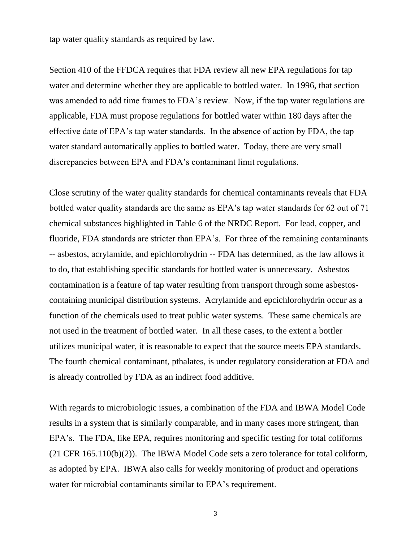tap water quality standards as required by law.

Section 410 of the FFDCA requires that FDA review all new EPA regulations for tap water and determine whether they are applicable to bottled water. In 1996, that section was amended to add time frames to FDA's review. Now, if the tap water regulations are applicable, FDA must propose regulations for bottled water within 180 days after the effective date of EPA's tap water standards. In the absence of action by FDA, the tap water standard automatically applies to bottled water. Today, there are very small discrepancies between EPA and FDA's contaminant limit regulations.

Close scrutiny of the water quality standards for chemical contaminants reveals that FDA bottled water quality standards are the same as EPA's tap water standards for 62 out of 71 chemical substances highlighted in Table 6 of the NRDC Report. For lead, copper, and fluoride, FDA standards are stricter than EPA's. For three of the remaining contaminants -- asbestos, acrylamide, and epichlorohydrin -- FDA has determined, as the law allows it to do, that establishing specific standards for bottled water is unnecessary. Asbestos contamination is a feature of tap water resulting from transport through some asbestoscontaining municipal distribution systems. Acrylamide and epcichlorohydrin occur as a function of the chemicals used to treat public water systems. These same chemicals are not used in the treatment of bottled water. In all these cases, to the extent a bottler utilizes municipal water, it is reasonable to expect that the source meets EPA standards. The fourth chemical contaminant, pthalates, is under regulatory consideration at FDA and is already controlled by FDA as an indirect food additive.

With regards to microbiologic issues, a combination of the FDA and IBWA Model Code results in a system that is similarly comparable, and in many cases more stringent, than EPA's. The FDA, like EPA, requires monitoring and specific testing for total coliforms (21 CFR 165.110(b)(2)). The IBWA Model Code sets a zero tolerance for total coliform, as adopted by EPA. IBWA also calls for weekly monitoring of product and operations water for microbial contaminants similar to EPA's requirement.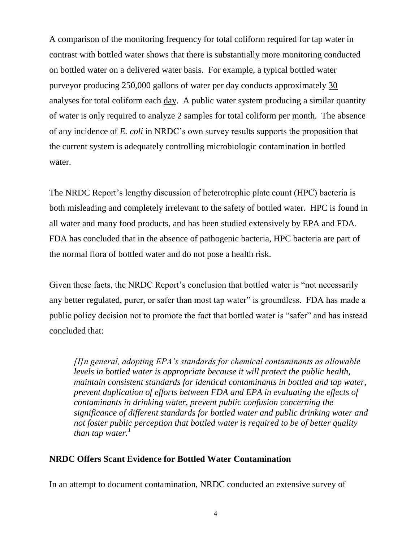A comparison of the monitoring frequency for total coliform required for tap water in contrast with bottled water shows that there is substantially more monitoring conducted on bottled water on a delivered water basis. For example, a typical bottled water purveyor producing 250,000 gallons of water per day conducts approximately 30 analyses for total coliform each day. A public water system producing a similar quantity of water is only required to analyze  $2$  samples for total coliform per <u>month</u>. The absence of any incidence of *E. coli* in NRDC's own survey results supports the proposition that the current system is adequately controlling microbiologic contamination in bottled water.

The NRDC Report's lengthy discussion of heterotrophic plate count (HPC) bacteria is both misleading and completely irrelevant to the safety of bottled water. HPC is found in all water and many food products, and has been studied extensively by EPA and FDA. FDA has concluded that in the absence of pathogenic bacteria, HPC bacteria are part of the normal flora of bottled water and do not pose a health risk.

Given these facts, the NRDC Report's conclusion that bottled water is "not necessarily any better regulated, purer, or safer than most tap water" is groundless. FDA has made a public policy decision not to promote the fact that bottled water is "safer" and has instead concluded that:

*[I]n general, adopting EPA's standards for chemical contaminants as allowable levels in bottled water is appropriate because it will protect the public health, maintain consistent standards for identical contaminants in bottled and tap water, prevent duplication of efforts between FDA and EPA in evaluating the effects of contaminants in drinking water, prevent public confusion concerning the significance of different standards for bottled water and public drinking water and not foster public perception that bottled water is required to be of better quality than tap water.<sup>1</sup>*

### **NRDC Offers Scant Evidence for Bottled Water Contamination**

In an attempt to document contamination, NRDC conducted an extensive survey of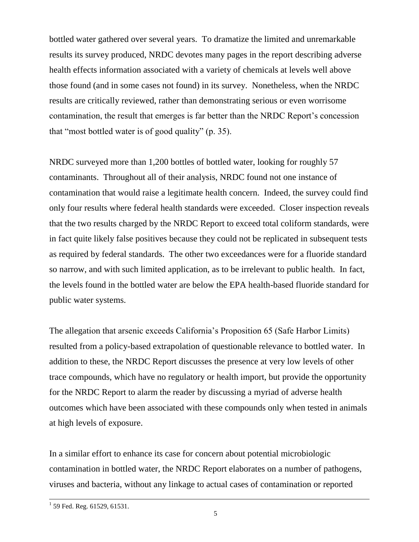bottled water gathered over several years. To dramatize the limited and unremarkable results its survey produced, NRDC devotes many pages in the report describing adverse health effects information associated with a variety of chemicals at levels well above those found (and in some cases not found) in its survey. Nonetheless, when the NRDC results are critically reviewed, rather than demonstrating serious or even worrisome contamination, the result that emerges is far better than the NRDC Report's concession that "most bottled water is of good quality" (p. 35).

NRDC surveyed more than 1,200 bottles of bottled water, looking for roughly 57 contaminants. Throughout all of their analysis, NRDC found not one instance of contamination that would raise a legitimate health concern. Indeed, the survey could find only four results where federal health standards were exceeded. Closer inspection reveals that the two results charged by the NRDC Report to exceed total coliform standards, were in fact quite likely false positives because they could not be replicated in subsequent tests as required by federal standards. The other two exceedances were for a fluoride standard so narrow, and with such limited application, as to be irrelevant to public health. In fact, the levels found in the bottled water are below the EPA health-based fluoride standard for public water systems.

The allegation that arsenic exceeds California's Proposition 65 (Safe Harbor Limits) resulted from a policy-based extrapolation of questionable relevance to bottled water. In addition to these, the NRDC Report discusses the presence at very low levels of other trace compounds, which have no regulatory or health import, but provide the opportunity for the NRDC Report to alarm the reader by discussing a myriad of adverse health outcomes which have been associated with these compounds only when tested in animals at high levels of exposure.

In a similar effort to enhance its case for concern about potential microbiologic contamination in bottled water, the NRDC Report elaborates on a number of pathogens, viruses and bacteria, without any linkage to actual cases of contamination or reported

 1 59 Fed. Reg. 61529, 61531.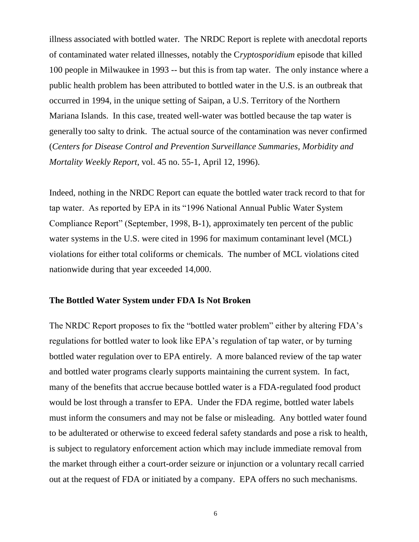illness associated with bottled water. The NRDC Report is replete with anecdotal reports of contaminated water related illnesses, notably the C*ryptosporidium* episode that killed 100 people in Milwaukee in 1993 -- but this is from tap water. The only instance where a public health problem has been attributed to bottled water in the U.S. is an outbreak that occurred in 1994, in the unique setting of Saipan, a U.S. Territory of the Northern Mariana Islands. In this case, treated well-water was bottled because the tap water is generally too salty to drink. The actual source of the contamination was never confirmed (*Centers for Disease Control and Prevention Surveillance Summaries, Morbidity and Mortality Weekly Report*, vol. 45 no. 55-1, April 12, 1996).

Indeed, nothing in the NRDC Report can equate the bottled water track record to that for tap water. As reported by EPA in its "1996 National Annual Public Water System Compliance Report" (September, 1998, B-1), approximately ten percent of the public water systems in the U.S. were cited in 1996 for maximum contaminant level (MCL) violations for either total coliforms or chemicals. The number of MCL violations cited nationwide during that year exceeded 14,000.

#### **The Bottled Water System under FDA Is Not Broken**

The NRDC Report proposes to fix the "bottled water problem" either by altering FDA's regulations for bottled water to look like EPA's regulation of tap water, or by turning bottled water regulation over to EPA entirely. A more balanced review of the tap water and bottled water programs clearly supports maintaining the current system. In fact, many of the benefits that accrue because bottled water is a FDA-regulated food product would be lost through a transfer to EPA. Under the FDA regime, bottled water labels must inform the consumers and may not be false or misleading. Any bottled water found to be adulterated or otherwise to exceed federal safety standards and pose a risk to health, is subject to regulatory enforcement action which may include immediate removal from the market through either a court-order seizure or injunction or a voluntary recall carried out at the request of FDA or initiated by a company. EPA offers no such mechanisms.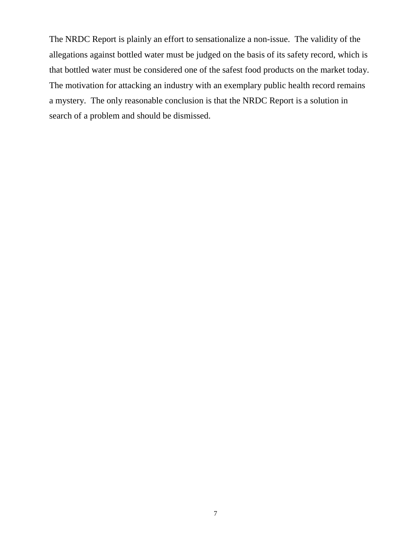The NRDC Report is plainly an effort to sensationalize a non-issue. The validity of the allegations against bottled water must be judged on the basis of its safety record, which is that bottled water must be considered one of the safest food products on the market today. The motivation for attacking an industry with an exemplary public health record remains a mystery. The only reasonable conclusion is that the NRDC Report is a solution in search of a problem and should be dismissed.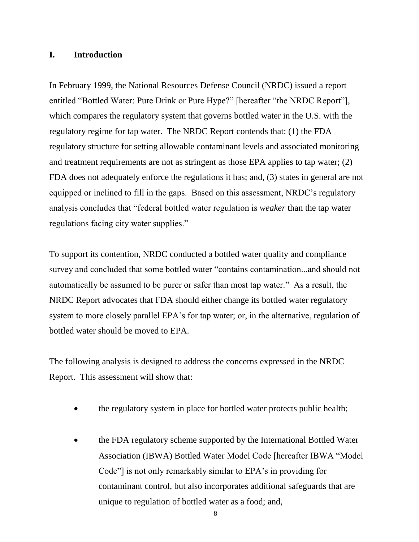### **I. Introduction**

In February 1999, the National Resources Defense Council (NRDC) issued a report entitled "Bottled Water: Pure Drink or Pure Hype?" [hereafter "the NRDC Report"], which compares the regulatory system that governs bottled water in the U.S. with the regulatory regime for tap water. The NRDC Report contends that: (1) the FDA regulatory structure for setting allowable contaminant levels and associated monitoring and treatment requirements are not as stringent as those EPA applies to tap water; (2) FDA does not adequately enforce the regulations it has; and, (3) states in general are not equipped or inclined to fill in the gaps. Based on this assessment, NRDC's regulatory analysis concludes that "federal bottled water regulation is *weaker* than the tap water regulations facing city water supplies."

To support its contention, NRDC conducted a bottled water quality and compliance survey and concluded that some bottled water "contains contamination...and should not automatically be assumed to be purer or safer than most tap water." As a result, the NRDC Report advocates that FDA should either change its bottled water regulatory system to more closely parallel EPA's for tap water; or, in the alternative, regulation of bottled water should be moved to EPA.

The following analysis is designed to address the concerns expressed in the NRDC Report. This assessment will show that:

- the regulatory system in place for bottled water protects public health;
- the FDA regulatory scheme supported by the International Bottled Water Association (IBWA) Bottled Water Model Code [hereafter IBWA "Model Code"] is not only remarkably similar to EPA's in providing for contaminant control, but also incorporates additional safeguards that are unique to regulation of bottled water as a food; and,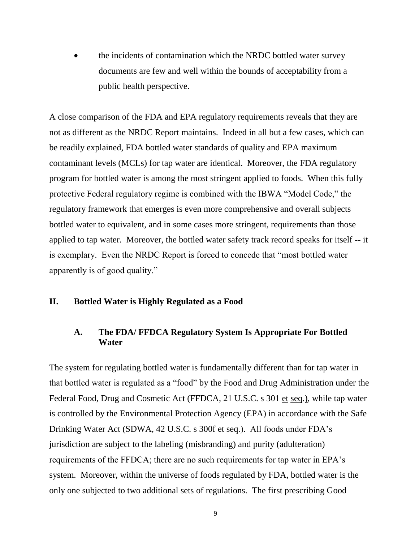• the incidents of contamination which the NRDC bottled water survey documents are few and well within the bounds of acceptability from a public health perspective.

A close comparison of the FDA and EPA regulatory requirements reveals that they are not as different as the NRDC Report maintains. Indeed in all but a few cases, which can be readily explained, FDA bottled water standards of quality and EPA maximum contaminant levels (MCLs) for tap water are identical. Moreover, the FDA regulatory program for bottled water is among the most stringent applied to foods. When this fully protective Federal regulatory regime is combined with the IBWA "Model Code," the regulatory framework that emerges is even more comprehensive and overall subjects bottled water to equivalent, and in some cases more stringent, requirements than those applied to tap water. Moreover, the bottled water safety track record speaks for itself -- it is exemplary. Even the NRDC Report is forced to concede that "most bottled water apparently is of good quality."

### **II. Bottled Water is Highly Regulated as a Food**

# **A. The FDA/ FFDCA Regulatory System Is Appropriate For Bottled Water**

The system for regulating bottled water is fundamentally different than for tap water in that bottled water is regulated as a "food" by the Food and Drug Administration under the Federal Food, Drug and Cosmetic Act (FFDCA, 21 U.S.C. s 301 et seq.), while tap water is controlled by the Environmental Protection Agency (EPA) in accordance with the Safe Drinking Water Act (SDWA, 42 U.S.C. s 300f et seq.). All foods under FDA's jurisdiction are subject to the labeling (misbranding) and purity (adulteration) requirements of the FFDCA; there are no such requirements for tap water in EPA's system. Moreover, within the universe of foods regulated by FDA, bottled water is the only one subjected to two additional sets of regulations. The first prescribing Good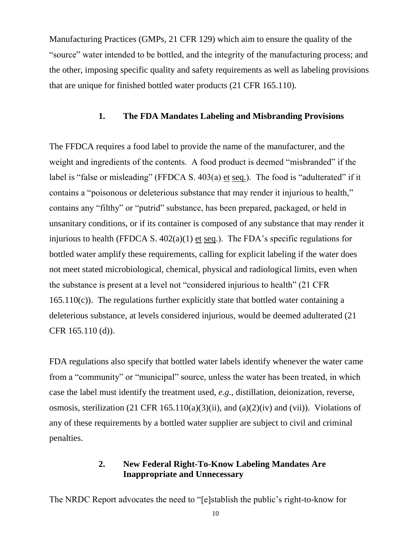Manufacturing Practices (GMPs, 21 CFR 129) which aim to ensure the quality of the "source" water intended to be bottled, and the integrity of the manufacturing process; and the other, imposing specific quality and safety requirements as well as labeling provisions that are unique for finished bottled water products (21 CFR 165.110).

# **1. The FDA Mandates Labeling and Misbranding Provisions**

The FFDCA requires a food label to provide the name of the manufacturer, and the weight and ingredients of the contents. A food product is deemed "misbranded" if the label is "false or misleading" (FFDCA S. 403(a) et seq.). The food is "adulterated" if it contains a "poisonous or deleterious substance that may render it injurious to health," contains any "filthy" or "putrid" substance, has been prepared, packaged, or held in unsanitary conditions, or if its container is composed of any substance that may render it injurious to health (FFDCA S.  $402(a)(1)$  et seq.). The FDA's specific regulations for bottled water amplify these requirements, calling for explicit labeling if the water does not meet stated microbiological, chemical, physical and radiological limits, even when the substance is present at a level not "considered injurious to health" (21 CFR 165.110(c)). The regulations further explicitly state that bottled water containing a deleterious substance, at levels considered injurious, would be deemed adulterated (21 CFR 165.110 (d)).

FDA regulations also specify that bottled water labels identify whenever the water came from a "community" or "municipal" source, unless the water has been treated, in which case the label must identify the treatment used, *e.g*., distillation, deionization, reverse, osmosis, sterilization (21 CFR 165.110(a)(3)(ii), and (a)(2)(iv) and (vii)). Violations of any of these requirements by a bottled water supplier are subject to civil and criminal penalties.

# **2. New Federal Right-To-Know Labeling Mandates Are Inappropriate and Unnecessary**

The NRDC Report advocates the need to "[e]stablish the public's right-to-know for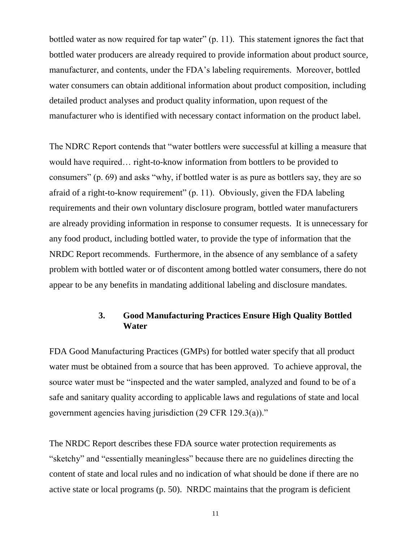bottled water as now required for tap water" (p. 11). This statement ignores the fact that bottled water producers are already required to provide information about product source, manufacturer, and contents, under the FDA's labeling requirements. Moreover, bottled water consumers can obtain additional information about product composition, including detailed product analyses and product quality information, upon request of the manufacturer who is identified with necessary contact information on the product label.

The NDRC Report contends that "water bottlers were successful at killing a measure that would have required… right-to-know information from bottlers to be provided to consumers" (p. 69) and asks "why, if bottled water is as pure as bottlers say, they are so afraid of a right-to-know requirement" (p. 11). Obviously, given the FDA labeling requirements and their own voluntary disclosure program, bottled water manufacturers are already providing information in response to consumer requests. It is unnecessary for any food product, including bottled water, to provide the type of information that the NRDC Report recommends. Furthermore, in the absence of any semblance of a safety problem with bottled water or of discontent among bottled water consumers, there do not appear to be any benefits in mandating additional labeling and disclosure mandates.

# **3. Good Manufacturing Practices Ensure High Quality Bottled Water**

FDA Good Manufacturing Practices (GMPs) for bottled water specify that all product water must be obtained from a source that has been approved. To achieve approval, the source water must be "inspected and the water sampled, analyzed and found to be of a safe and sanitary quality according to applicable laws and regulations of state and local government agencies having jurisdiction (29 CFR 129.3(a))."

The NRDC Report describes these FDA source water protection requirements as "sketchy" and "essentially meaningless" because there are no guidelines directing the content of state and local rules and no indication of what should be done if there are no active state or local programs (p. 50). NRDC maintains that the program is deficient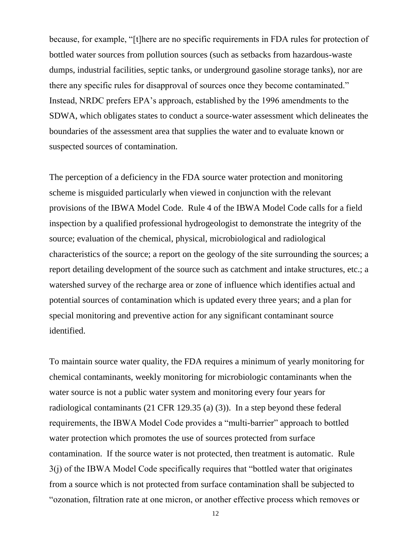because, for example, "[t]here are no specific requirements in FDA rules for protection of bottled water sources from pollution sources (such as setbacks from hazardous-waste dumps, industrial facilities, septic tanks, or underground gasoline storage tanks), nor are there any specific rules for disapproval of sources once they become contaminated." Instead, NRDC prefers EPA's approach, established by the 1996 amendments to the SDWA, which obligates states to conduct a source-water assessment which delineates the boundaries of the assessment area that supplies the water and to evaluate known or suspected sources of contamination.

The perception of a deficiency in the FDA source water protection and monitoring scheme is misguided particularly when viewed in conjunction with the relevant provisions of the IBWA Model Code. Rule 4 of the IBWA Model Code calls for a field inspection by a qualified professional hydrogeologist to demonstrate the integrity of the source; evaluation of the chemical, physical, microbiological and radiological characteristics of the source; a report on the geology of the site surrounding the sources; a report detailing development of the source such as catchment and intake structures, etc.; a watershed survey of the recharge area or zone of influence which identifies actual and potential sources of contamination which is updated every three years; and a plan for special monitoring and preventive action for any significant contaminant source identified.

To maintain source water quality, the FDA requires a minimum of yearly monitoring for chemical contaminants, weekly monitoring for microbiologic contaminants when the water source is not a public water system and monitoring every four years for radiological contaminants (21 CFR 129.35 (a) (3)). In a step beyond these federal requirements, the IBWA Model Code provides a "multi-barrier" approach to bottled water protection which promotes the use of sources protected from surface contamination. If the source water is not protected, then treatment is automatic. Rule 3(j) of the IBWA Model Code specifically requires that "bottled water that originates from a source which is not protected from surface contamination shall be subjected to "ozonation, filtration rate at one micron, or another effective process which removes or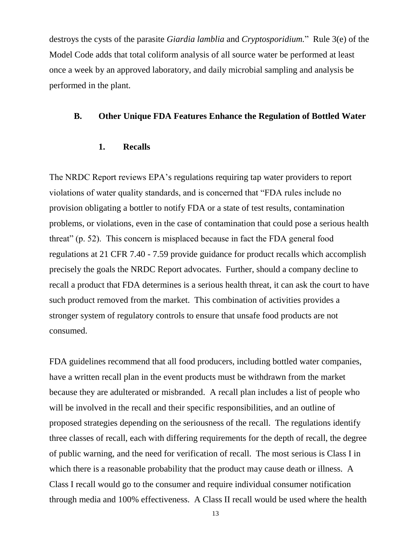destroys the cysts of the parasite *Giardia lamblia* and *Cryptosporidium.*" Rule 3(e) of the Model Code adds that total coliform analysis of all source water be performed at least once a week by an approved laboratory, and daily microbial sampling and analysis be performed in the plant.

#### **B. Other Unique FDA Features Enhance the Regulation of Bottled Water**

### **1. Recalls**

The NRDC Report reviews EPA's regulations requiring tap water providers to report violations of water quality standards, and is concerned that "FDA rules include no provision obligating a bottler to notify FDA or a state of test results, contamination problems, or violations, even in the case of contamination that could pose a serious health threat" (p. 52). This concern is misplaced because in fact the FDA general food regulations at 21 CFR 7.40 - 7.59 provide guidance for product recalls which accomplish precisely the goals the NRDC Report advocates. Further, should a company decline to recall a product that FDA determines is a serious health threat, it can ask the court to have such product removed from the market. This combination of activities provides a stronger system of regulatory controls to ensure that unsafe food products are not consumed.

FDA guidelines recommend that all food producers, including bottled water companies, have a written recall plan in the event products must be withdrawn from the market because they are adulterated or misbranded. A recall plan includes a list of people who will be involved in the recall and their specific responsibilities, and an outline of proposed strategies depending on the seriousness of the recall. The regulations identify three classes of recall, each with differing requirements for the depth of recall, the degree of public warning, and the need for verification of recall. The most serious is Class I in which there is a reasonable probability that the product may cause death or illness. A Class I recall would go to the consumer and require individual consumer notification through media and 100% effectiveness. A Class II recall would be used where the health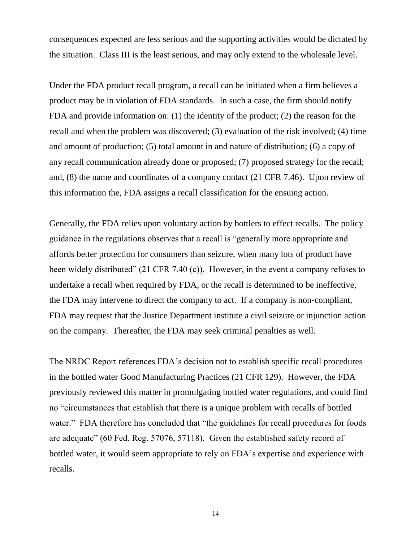consequences expected are less serious and the supporting activities would be dictated by the situation. Class III is the least serious, and may only extend to the wholesale level.

Under the FDA product recall program, a recall can be initiated when a firm believes a product may be in violation of FDA standards. In such a case, the firm should notify FDA and provide information on: (1) the identity of the product; (2) the reason for the recall and when the problem was discovered; (3) evaluation of the risk involved; (4) time and amount of production; (5) total amount in and nature of distribution; (6) a copy of any recall communication already done or proposed; (7) proposed strategy for the recall; and, (8) the name and coordinates of a company contact (21 CFR 7.46). Upon review of this information the, FDA assigns a recall classification for the ensuing action.

Generally, the FDA relies upon voluntary action by bottlers to effect recalls. The policy guidance in the regulations observes that a recall is "generally more appropriate and affords better protection for consumers than seizure, when many lots of product have been widely distributed" (21 CFR 7.40 (c)). However, in the event a company refuses to undertake a recall when required by FDA, or the recall is determined to be ineffective, the FDA may intervene to direct the company to act. If a company is non-compliant, FDA may request that the Justice Department institute a civil seizure or injunction action on the company. Thereafter, the FDA may seek criminal penalties as well.

The NRDC Report references FDA's decision not to establish specific recall procedures in the bottled water Good Manufacturing Practices (21 CFR 129). However, the FDA previously reviewed this matter in promulgating bottled water regulations, and could find no "circumstances that establish that there is a unique problem with recalls of bottled water." FDA therefore has concluded that "the guidelines for recall procedures for foods are adequate" (60 Fed. Reg. 57076, 57118). Given the established safety record of bottled water, it would seem appropriate to rely on FDA's expertise and experience with recalls.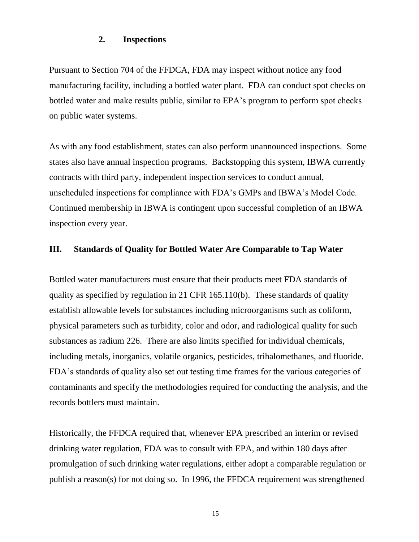### **2. Inspections**

Pursuant to Section 704 of the FFDCA, FDA may inspect without notice any food manufacturing facility, including a bottled water plant. FDA can conduct spot checks on bottled water and make results public, similar to EPA's program to perform spot checks on public water systems.

As with any food establishment, states can also perform unannounced inspections. Some states also have annual inspection programs. Backstopping this system, IBWA currently contracts with third party, independent inspection services to conduct annual, unscheduled inspections for compliance with FDA's GMPs and IBWA's Model Code. Continued membership in IBWA is contingent upon successful completion of an IBWA inspection every year.

### **III. Standards of Quality for Bottled Water Are Comparable to Tap Water**

Bottled water manufacturers must ensure that their products meet FDA standards of quality as specified by regulation in 21 CFR 165.110(b). These standards of quality establish allowable levels for substances including microorganisms such as coliform, physical parameters such as turbidity, color and odor, and radiological quality for such substances as radium 226. There are also limits specified for individual chemicals, including metals, inorganics, volatile organics, pesticides, trihalomethanes, and fluoride. FDA's standards of quality also set out testing time frames for the various categories of contaminants and specify the methodologies required for conducting the analysis, and the records bottlers must maintain.

Historically, the FFDCA required that, whenever EPA prescribed an interim or revised drinking water regulation, FDA was to consult with EPA, and within 180 days after promulgation of such drinking water regulations, either adopt a comparable regulation or publish a reason(s) for not doing so. In 1996, the FFDCA requirement was strengthened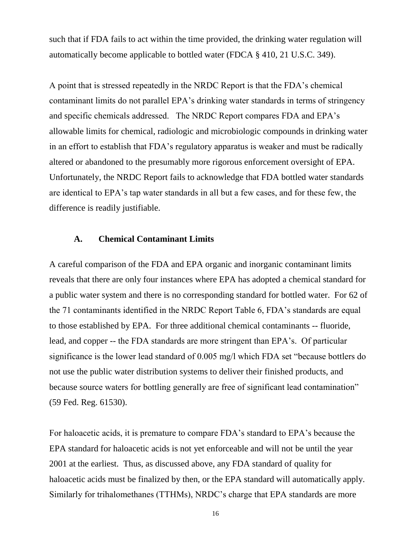such that if FDA fails to act within the time provided, the drinking water regulation will automatically become applicable to bottled water (FDCA § 410, 21 U.S.C. 349).

A point that is stressed repeatedly in the NRDC Report is that the FDA's chemical contaminant limits do not parallel EPA's drinking water standards in terms of stringency and specific chemicals addressed. The NRDC Report compares FDA and EPA's allowable limits for chemical, radiologic and microbiologic compounds in drinking water in an effort to establish that FDA's regulatory apparatus is weaker and must be radically altered or abandoned to the presumably more rigorous enforcement oversight of EPA. Unfortunately, the NRDC Report fails to acknowledge that FDA bottled water standards are identical to EPA's tap water standards in all but a few cases, and for these few, the difference is readily justifiable.

#### **A. Chemical Contaminant Limits**

A careful comparison of the FDA and EPA organic and inorganic contaminant limits reveals that there are only four instances where EPA has adopted a chemical standard for a public water system and there is no corresponding standard for bottled water. For 62 of the 71 contaminants identified in the NRDC Report Table 6, FDA's standards are equal to those established by EPA. For three additional chemical contaminants -- fluoride, lead, and copper -- the FDA standards are more stringent than EPA's. Of particular significance is the lower lead standard of 0.005 mg/l which FDA set "because bottlers do not use the public water distribution systems to deliver their finished products, and because source waters for bottling generally are free of significant lead contamination" (59 Fed. Reg. 61530).

For haloacetic acids, it is premature to compare FDA's standard to EPA's because the EPA standard for haloacetic acids is not yet enforceable and will not be until the year 2001 at the earliest. Thus, as discussed above, any FDA standard of quality for haloacetic acids must be finalized by then, or the EPA standard will automatically apply. Similarly for trihalomethanes (TTHMs), NRDC's charge that EPA standards are more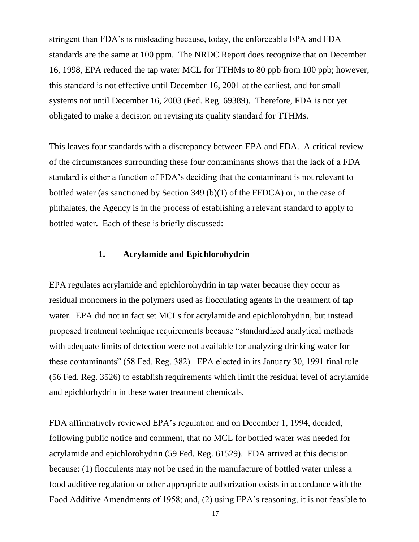stringent than FDA's is misleading because, today, the enforceable EPA and FDA standards are the same at 100 ppm. The NRDC Report does recognize that on December 16, 1998, EPA reduced the tap water MCL for TTHMs to 80 ppb from 100 ppb; however, this standard is not effective until December 16, 2001 at the earliest, and for small systems not until December 16, 2003 (Fed. Reg. 69389). Therefore, FDA is not yet obligated to make a decision on revising its quality standard for TTHMs.

This leaves four standards with a discrepancy between EPA and FDA. A critical review of the circumstances surrounding these four contaminants shows that the lack of a FDA standard is either a function of FDA's deciding that the contaminant is not relevant to bottled water (as sanctioned by Section 349 (b)(1) of the FFDCA) or, in the case of phthalates, the Agency is in the process of establishing a relevant standard to apply to bottled water. Each of these is briefly discussed:

#### **1. Acrylamide and Epichlorohydrin**

EPA regulates acrylamide and epichlorohydrin in tap water because they occur as residual monomers in the polymers used as flocculating agents in the treatment of tap water. EPA did not in fact set MCLs for acrylamide and epichlorohydrin, but instead proposed treatment technique requirements because "standardized analytical methods with adequate limits of detection were not available for analyzing drinking water for these contaminants" (58 Fed. Reg. 382). EPA elected in its January 30, 1991 final rule (56 Fed. Reg. 3526) to establish requirements which limit the residual level of acrylamide and epichlorhydrin in these water treatment chemicals.

FDA affirmatively reviewed EPA's regulation and on December 1, 1994, decided, following public notice and comment, that no MCL for bottled water was needed for acrylamide and epichlorohydrin (59 Fed. Reg. 61529). FDA arrived at this decision because: (1) flocculents may not be used in the manufacture of bottled water unless a food additive regulation or other appropriate authorization exists in accordance with the Food Additive Amendments of 1958; and, (2) using EPA's reasoning, it is not feasible to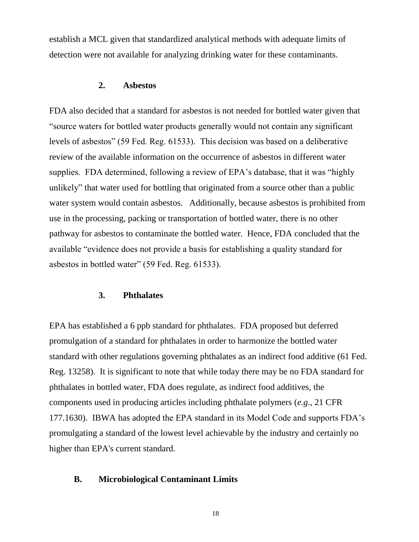establish a MCL given that standardized analytical methods with adequate limits of detection were not available for analyzing drinking water for these contaminants.

#### **2. Asbestos**

FDA also decided that a standard for asbestos is not needed for bottled water given that "source waters for bottled water products generally would not contain any significant levels of asbestos" (59 Fed. Reg. 61533). This decision was based on a deliberative review of the available information on the occurrence of asbestos in different water supplies. FDA determined, following a review of EPA's database, that it was "highly unlikely" that water used for bottling that originated from a source other than a public water system would contain asbestos. Additionally, because asbestos is prohibited from use in the processing, packing or transportation of bottled water, there is no other pathway for asbestos to contaminate the bottled water. Hence, FDA concluded that the available "evidence does not provide a basis for establishing a quality standard for asbestos in bottled water" (59 Fed. Reg. 61533).

#### **3. Phthalates**

EPA has established a 6 ppb standard for phthalates. FDA proposed but deferred promulgation of a standard for phthalates in order to harmonize the bottled water standard with other regulations governing phthalates as an indirect food additive (61 Fed. Reg. 13258). It is significant to note that while today there may be no FDA standard for phthalates in bottled water, FDA does regulate, as indirect food additives, the components used in producing articles including phthalate polymers (*e.g*., 21 CFR 177.1630). IBWA has adopted the EPA standard in its Model Code and supports FDA's promulgating a standard of the lowest level achievable by the industry and certainly no higher than EPA's current standard.

#### **B. Microbiological Contaminant Limits**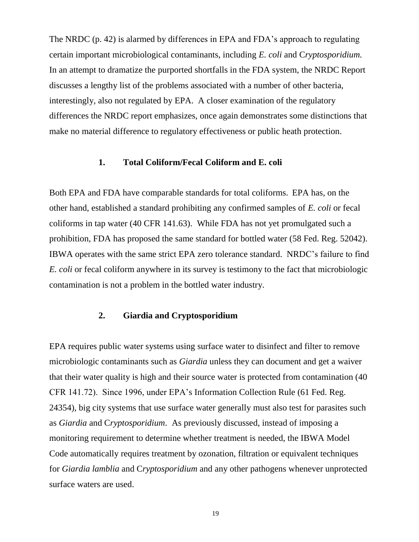The NRDC (p. 42) is alarmed by differences in EPA and FDA's approach to regulating certain important microbiological contaminants, including *E. coli* and C*ryptosporidium.* In an attempt to dramatize the purported shortfalls in the FDA system, the NRDC Report discusses a lengthy list of the problems associated with a number of other bacteria, interestingly, also not regulated by EPA. A closer examination of the regulatory differences the NRDC report emphasizes, once again demonstrates some distinctions that make no material difference to regulatory effectiveness or public heath protection.

#### **1. Total Coliform/Fecal Coliform and E. coli**

Both EPA and FDA have comparable standards for total coliforms. EPA has, on the other hand, established a standard prohibiting any confirmed samples of *E. coli* or fecal coliforms in tap water (40 CFR 141.63). While FDA has not yet promulgated such a prohibition, FDA has proposed the same standard for bottled water (58 Fed. Reg. 52042). IBWA operates with the same strict EPA zero tolerance standard. NRDC's failure to find *E. coli* or fecal coliform anywhere in its survey is testimony to the fact that microbiologic contamination is not a problem in the bottled water industry.

#### **2. Giardia and Cryptosporidium**

EPA requires public water systems using surface water to disinfect and filter to remove microbiologic contaminants such as *Giardia* unless they can document and get a waiver that their water quality is high and their source water is protected from contamination (40 CFR 141.72). Since 1996, under EPA's Information Collection Rule (61 Fed. Reg. 24354), big city systems that use surface water generally must also test for parasites such as *Giardia* and C*ryptosporidium*. As previously discussed, instead of imposing a monitoring requirement to determine whether treatment is needed, the IBWA Model Code automatically requires treatment by ozonation, filtration or equivalent techniques for *Giardia lamblia* and C*ryptosporidium* and any other pathogens whenever unprotected surface waters are used.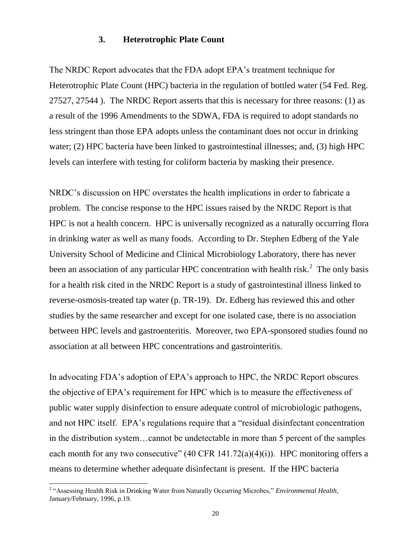#### **3. Heterotrophic Plate Count**

The NRDC Report advocates that the FDA adopt EPA's treatment technique for Heterotrophic Plate Count (HPC) bacteria in the regulation of bottled water (54 Fed. Reg. 27527, 27544 ). The NRDC Report asserts that this is necessary for three reasons: (1) as a result of the 1996 Amendments to the SDWA, FDA is required to adopt standards no less stringent than those EPA adopts unless the contaminant does not occur in drinking water; (2) HPC bacteria have been linked to gastrointestinal illnesses; and, (3) high HPC levels can interfere with testing for coliform bacteria by masking their presence.

NRDC's discussion on HPC overstates the health implications in order to fabricate a problem. The concise response to the HPC issues raised by the NRDC Report is that HPC is not a health concern. HPC is universally recognized as a naturally occurring flora in drinking water as well as many foods. According to Dr. Stephen Edberg of the Yale University School of Medicine and Clinical Microbiology Laboratory, there has never been an association of any particular HPC concentration with health risk.<sup>2</sup> The only basis for a health risk cited in the NRDC Report is a study of gastrointestinal illness linked to reverse-osmosis-treated tap water (p. TR-19). Dr. Edberg has reviewed this and other studies by the same researcher and except for one isolated case, there is no association between HPC levels and gastroenteritis. Moreover, two EPA-sponsored studies found no association at all between HPC concentrations and gastrointeritis.

In advocating FDA's adoption of EPA's approach to HPC, the NRDC Report obscures the objective of EPA's requirement for HPC which is to measure the effectiveness of public water supply disinfection to ensure adequate control of microbiologic pathogens, and not HPC itself. EPA's regulations require that a "residual disinfectant concentration in the distribution system…cannot be undetectable in more than 5 percent of the samples each month for any two consecutive"  $(40 \text{ CFR } 141.72(a)(4)(i))$ . HPC monitoring offers a means to determine whether adequate disinfectant is present. If the HPC bacteria

 $\overline{a}$ 

<sup>&</sup>lt;sup>2</sup> "Assessing Health Risk in Drinking Water from Naturally Occurring Microbes," *Environmental Health*, January/February, 1996, p.19.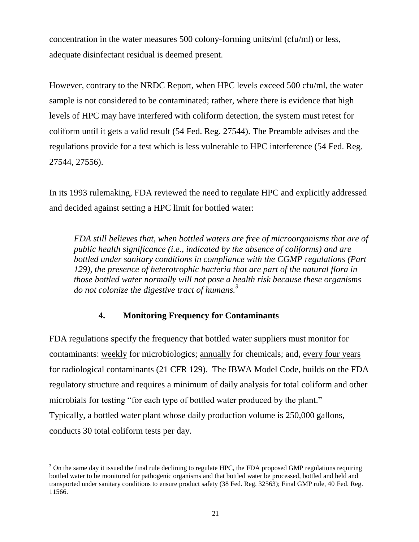concentration in the water measures 500 colony-forming units/ml (cfu/ml) or less, adequate disinfectant residual is deemed present.

However, contrary to the NRDC Report, when HPC levels exceed 500 cfu/ml, the water sample is not considered to be contaminated; rather, where there is evidence that high levels of HPC may have interfered with coliform detection, the system must retest for coliform until it gets a valid result (54 Fed. Reg. 27544). The Preamble advises and the regulations provide for a test which is less vulnerable to HPC interference (54 Fed. Reg. 27544, 27556).

In its 1993 rulemaking, FDA reviewed the need to regulate HPC and explicitly addressed and decided against setting a HPC limit for bottled water:

*FDA still believes that, when bottled waters are free of microorganisms that are of public health significance (i.e., indicated by the absence of coliforms) and are bottled under sanitary conditions in compliance with the CGMP regulations (Part 129), the presence of heterotrophic bacteria that are part of the natural flora in those bottled water normally will not pose a health risk because these organisms do not colonize the digestive tract of humans.<sup>3</sup>*

# **4. Monitoring Frequency for Contaminants**

FDA regulations specify the frequency that bottled water suppliers must monitor for contaminants: weekly for microbiologics; annually for chemicals; and, every four years for radiological contaminants (21 CFR 129). The IBWA Model Code, builds on the FDA regulatory structure and requires a minimum of daily analysis for total coliform and other microbials for testing "for each type of bottled water produced by the plant." Typically, a bottled water plant whose daily production volume is 250,000 gallons, conducts 30 total coliform tests per day.

 $\overline{a}$ 

<sup>&</sup>lt;sup>3</sup> On the same day it issued the final rule declining to regulate HPC, the FDA proposed GMP regulations requiring bottled water to be monitored for pathogenic organisms and that bottled water be processed, bottled and held and transported under sanitary conditions to ensure product safety (38 Fed. Reg. 32563); Final GMP rule, 40 Fed. Reg. 11566.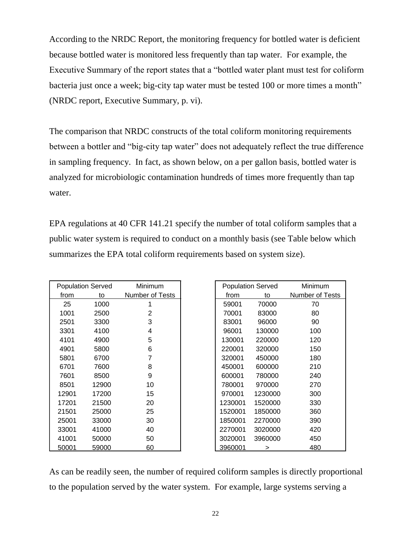According to the NRDC Report, the monitoring frequency for bottled water is deficient because bottled water is monitored less frequently than tap water. For example, the Executive Summary of the report states that a "bottled water plant must test for coliform bacteria just once a week; big-city tap water must be tested 100 or more times a month" (NRDC report, Executive Summary, p. vi).

The comparison that NRDC constructs of the total coliform monitoring requirements between a bottler and "big-city tap water" does not adequately reflect the true difference in sampling frequency. In fact, as shown below, on a per gallon basis, bottled water is analyzed for microbiologic contamination hundreds of times more frequently than tap water.

EPA regulations at 40 CFR 141.21 specify the number of total coliform samples that a public water system is required to conduct on a monthly basis (see Table below which summarizes the EPA total coliform requirements based on system size).

| <b>Population Served</b> |       | Minimum         | <b>Population Served</b> |         | Minimum         |  |
|--------------------------|-------|-----------------|--------------------------|---------|-----------------|--|
| from                     | to    | Number of Tests | from                     | to      | Number of Tests |  |
| 25                       | 1000  |                 | 59001                    | 70000   | 70              |  |
| 1001                     | 2500  | 2               | 70001                    | 83000   | 80              |  |
| 2501                     | 3300  | 3               | 83001                    | 96000   | 90              |  |
| 3301                     | 4100  | 4               | 96001                    | 130000  | 100             |  |
| 4101                     | 4900  | 5               | 130001                   | 220000  | 120             |  |
| 4901                     | 5800  | 6               | 220001                   | 320000  | 150             |  |
| 5801                     | 6700  | 7               | 320001                   | 450000  | 180             |  |
| 6701                     | 7600  | 8               | 450001                   | 600000  | 210             |  |
| 7601                     | 8500  | 9               | 600001                   | 780000  | 240             |  |
| 8501                     | 12900 | 10              | 780001                   | 970000  | 270             |  |
| 12901                    | 17200 | 15              | 970001                   | 1230000 | 300             |  |
| 17201                    | 21500 | 20              | 1230001                  | 1520000 | 330             |  |
| 21501                    | 25000 | 25              | 1520001                  | 1850000 | 360             |  |
| 25001                    | 33000 | 30              | 1850001                  | 2270000 | 390             |  |
| 33001                    | 41000 | 40              | 2270001                  | 3020000 | 420             |  |
| 41001                    | 50000 | 50              | 3020001                  | 3960000 | 450             |  |
| 50001                    | 59000 | 60              | 3960001                  | $\geq$  | 480             |  |

As can be readily seen, the number of required coliform samples is directly proportional to the population served by the water system. For example, large systems serving a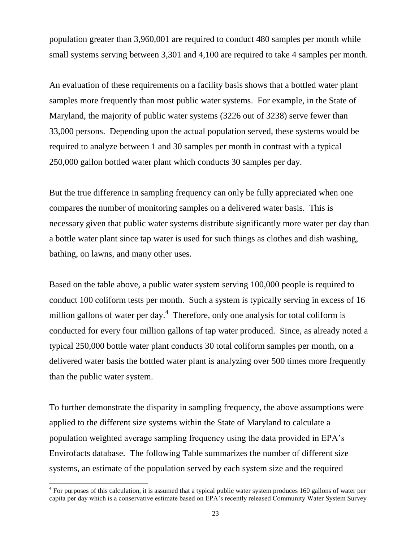population greater than 3,960,001 are required to conduct 480 samples per month while small systems serving between 3,301 and 4,100 are required to take 4 samples per month.

An evaluation of these requirements on a facility basis shows that a bottled water plant samples more frequently than most public water systems. For example, in the State of Maryland, the majority of public water systems (3226 out of 3238) serve fewer than 33,000 persons. Depending upon the actual population served, these systems would be required to analyze between 1 and 30 samples per month in contrast with a typical 250,000 gallon bottled water plant which conducts 30 samples per day.

But the true difference in sampling frequency can only be fully appreciated when one compares the number of monitoring samples on a delivered water basis. This is necessary given that public water systems distribute significantly more water per day than a bottle water plant since tap water is used for such things as clothes and dish washing, bathing, on lawns, and many other uses.

Based on the table above, a public water system serving 100,000 people is required to conduct 100 coliform tests per month. Such a system is typically serving in excess of 16 million gallons of water per day.<sup>4</sup> Therefore, only one analysis for total coliform is conducted for every four million gallons of tap water produced. Since, as already noted a typical 250,000 bottle water plant conducts 30 total coliform samples per month, on a delivered water basis the bottled water plant is analyzing over 500 times more frequently than the public water system.

To further demonstrate the disparity in sampling frequency, the above assumptions were applied to the different size systems within the State of Maryland to calculate a population weighted average sampling frequency using the data provided in EPA's Envirofacts database. The following Table summarizes the number of different size systems, an estimate of the population served by each system size and the required

 $\overline{a}$ 

 $4$  For purposes of this calculation, it is assumed that a typical public water system produces 160 gallons of water per capita per day which is a conservative estimate based on EPA's recently released Community Water System Survey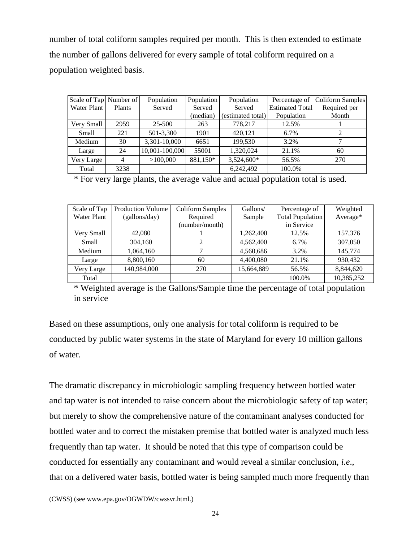number of total coliform samples required per month. This is then extended to estimate the number of gallons delivered for every sample of total coliform required on a population weighted basis.

| Scale of Tap Number of |                | Population     | <b>Population</b> | Population        | Percentage of          | Coliform Samples |
|------------------------|----------------|----------------|-------------------|-------------------|------------------------|------------------|
| Water Plant            | <b>Plants</b>  | Served         | Served            | Served            | <b>Estimated Total</b> | Required per     |
|                        |                |                | (median)          | (estimated total) | Population             | Month            |
| Very Small             | 2959           | 25-500         | 263               | 778,217           | 12.5%                  |                  |
| <b>Small</b>           | 221            | 501-3,300      | 1901              | 420,121           | 6.7%                   | 2                |
| Medium                 | 30             | 3,301-10,000   | 6651              | 199.530           | 3.2%                   |                  |
| Large                  | 24             | 10,001-100,000 | 55001             | 1,320,024         | 21.1%                  | 60               |
| Very Large             | $\overline{4}$ | >100,000       | 881,150*          | 3,524,600*        | 56.5%                  | 270              |
| Total                  | 3238           |                |                   | 6.242,492         | 100.0%                 |                  |

\* For very large plants, the average value and actual population total is used.

| Scale of Tap | <b>Production Volume</b> | <b>Coliform Samples</b> | Gallons/   | Percentage of           | Weighted   |
|--------------|--------------------------|-------------------------|------------|-------------------------|------------|
| Water Plant  | (gallons/day)            | Required                | Sample     | <b>Total Population</b> | Average*   |
|              |                          | (number/month)          |            | in Service              |            |
| Very Small   | 42,080                   |                         | 1,262,400  | 12.5%                   | 157,376    |
| Small        | 304,160                  | $\overline{c}$          | 4,562,400  | 6.7%                    | 307,050    |
| Medium       | 1,064,160                | ¬                       | 4,560,686  | 3.2%                    | 145,774    |
| Large        | 8,800,160                | 60                      | 4,400,080  | 21.1%                   | 930,432    |
| Very Large   | 140,984,000              | 270                     | 15,664,889 | 56.5%                   | 8,844,620  |
| Total        |                          |                         |            | 100.0%                  | 10,385,252 |

\* Weighted average is the Gallons/Sample time the percentage of total population in service

Based on these assumptions, only one analysis for total coliform is required to be conducted by public water systems in the state of Maryland for every 10 million gallons of water.

The dramatic discrepancy in microbiologic sampling frequency between bottled water and tap water is not intended to raise concern about the microbiologic safety of tap water; but merely to show the comprehensive nature of the contaminant analyses conducted for bottled water and to correct the mistaken premise that bottled water is analyzed much less frequently than tap water. It should be noted that this type of comparison could be conducted for essentially any contaminant and would reveal a similar conclusion, *i.e*., that on a delivered water basis, bottled water is being sampled much more frequently than

(CWSS) (see www.epa.gov/OGWDW/cwssvr.html.)

 $\overline{a}$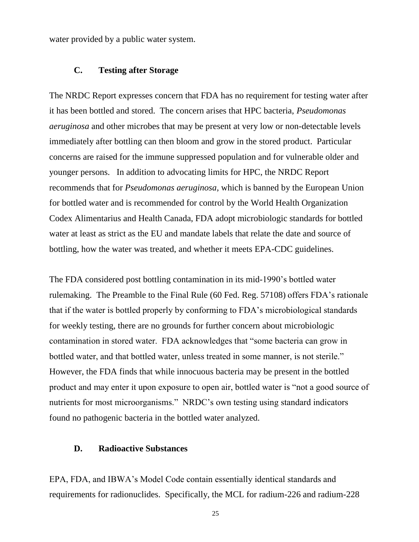water provided by a public water system.

#### **C. Testing after Storage**

The NRDC Report expresses concern that FDA has no requirement for testing water after it has been bottled and stored. The concern arises that HPC bacteria, *Pseudomonas aeruginosa* and other microbes that may be present at very low or non-detectable levels immediately after bottling can then bloom and grow in the stored product. Particular concerns are raised for the immune suppressed population and for vulnerable older and younger persons. In addition to advocating limits for HPC, the NRDC Report recommends that for *Pseudomonas aeruginosa*, which is banned by the European Union for bottled water and is recommended for control by the World Health Organization Codex Alimentarius and Health Canada, FDA adopt microbiologic standards for bottled water at least as strict as the EU and mandate labels that relate the date and source of bottling, how the water was treated, and whether it meets EPA-CDC guidelines.

The FDA considered post bottling contamination in its mid-1990's bottled water rulemaking. The Preamble to the Final Rule (60 Fed. Reg. 57108) offers FDA's rationale that if the water is bottled properly by conforming to FDA's microbiological standards for weekly testing, there are no grounds for further concern about microbiologic contamination in stored water. FDA acknowledges that "some bacteria can grow in bottled water, and that bottled water, unless treated in some manner, is not sterile." However, the FDA finds that while innocuous bacteria may be present in the bottled product and may enter it upon exposure to open air, bottled water is "not a good source of nutrients for most microorganisms." NRDC's own testing using standard indicators found no pathogenic bacteria in the bottled water analyzed.

#### **D. Radioactive Substances**

EPA, FDA, and IBWA's Model Code contain essentially identical standards and requirements for radionuclides. Specifically, the MCL for radium-226 and radium-228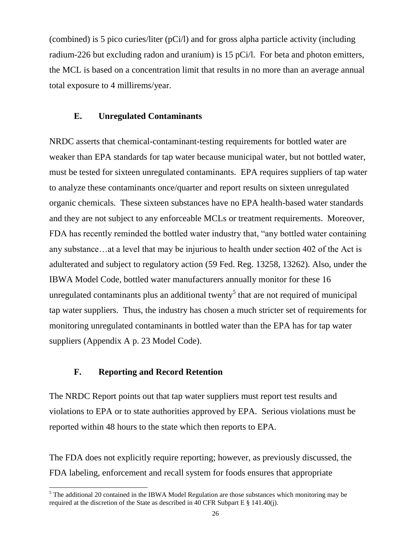(combined) is 5 pico curies/liter (pCi/l) and for gross alpha particle activity (including radium-226 but excluding radon and uranium) is 15 pCi/l. For beta and photon emitters, the MCL is based on a concentration limit that results in no more than an average annual total exposure to 4 millirems/year.

#### **E. Unregulated Contaminants**

NRDC asserts that chemical-contaminant-testing requirements for bottled water are weaker than EPA standards for tap water because municipal water, but not bottled water, must be tested for sixteen unregulated contaminants. EPA requires suppliers of tap water to analyze these contaminants once/quarter and report results on sixteen unregulated organic chemicals. These sixteen substances have no EPA health-based water standards and they are not subject to any enforceable MCLs or treatment requirements. Moreover, FDA has recently reminded the bottled water industry that, "any bottled water containing any substance…at a level that may be injurious to health under section 402 of the Act is adulterated and subject to regulatory action (59 Fed. Reg. 13258, 13262). Also, under the IBWA Model Code, bottled water manufacturers annually monitor for these 16 unregulated contaminants plus an additional twenty<sup>5</sup> that are not required of municipal tap water suppliers. Thus, the industry has chosen a much stricter set of requirements for monitoring unregulated contaminants in bottled water than the EPA has for tap water suppliers (Appendix A p. 23 Model Code).

#### **F. Reporting and Record Retention**

 $\overline{a}$ 

The NRDC Report points out that tap water suppliers must report test results and violations to EPA or to state authorities approved by EPA. Serious violations must be reported within 48 hours to the state which then reports to EPA.

The FDA does not explicitly require reporting; however, as previously discussed, the FDA labeling, enforcement and recall system for foods ensures that appropriate

 $<sup>5</sup>$  The additional 20 contained in the IBWA Model Regulation are those substances which monitoring may be</sup> required at the discretion of the State as described in 40 CFR Subpart E § 141.40(j).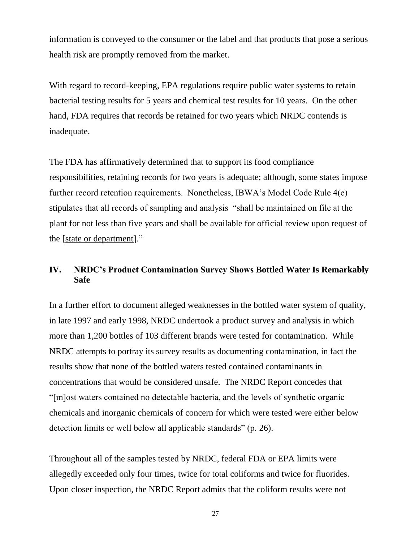information is conveyed to the consumer or the label and that products that pose a serious health risk are promptly removed from the market.

With regard to record-keeping, EPA regulations require public water systems to retain bacterial testing results for 5 years and chemical test results for 10 years. On the other hand, FDA requires that records be retained for two years which NRDC contends is inadequate.

The FDA has affirmatively determined that to support its food compliance responsibilities, retaining records for two years is adequate; although, some states impose further record retention requirements. Nonetheless, IBWA's Model Code Rule 4(e) stipulates that all records of sampling and analysis "shall be maintained on file at the plant for not less than five years and shall be available for official review upon request of the [state or department]."

# **IV. NRDC's Product Contamination Survey Shows Bottled Water Is Remarkably Safe**

In a further effort to document alleged weaknesses in the bottled water system of quality, in late 1997 and early 1998, NRDC undertook a product survey and analysis in which more than 1,200 bottles of 103 different brands were tested for contamination. While NRDC attempts to portray its survey results as documenting contamination, in fact the results show that none of the bottled waters tested contained contaminants in concentrations that would be considered unsafe. The NRDC Report concedes that "[m]ost waters contained no detectable bacteria, and the levels of synthetic organic chemicals and inorganic chemicals of concern for which were tested were either below detection limits or well below all applicable standards" (p. 26).

Throughout all of the samples tested by NRDC, federal FDA or EPA limits were allegedly exceeded only four times, twice for total coliforms and twice for fluorides. Upon closer inspection, the NRDC Report admits that the coliform results were not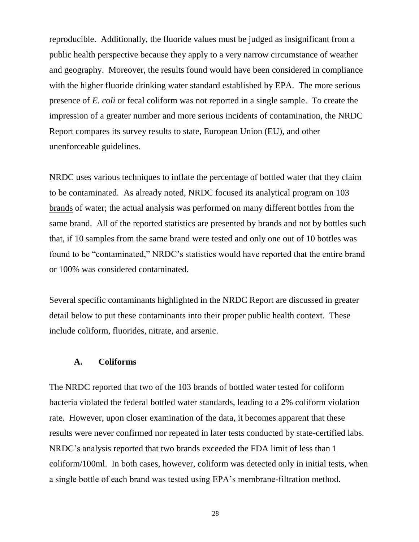reproducible. Additionally, the fluoride values must be judged as insignificant from a public health perspective because they apply to a very narrow circumstance of weather and geography. Moreover, the results found would have been considered in compliance with the higher fluoride drinking water standard established by EPA. The more serious presence of *E. coli* or fecal coliform was not reported in a single sample. To create the impression of a greater number and more serious incidents of contamination, the NRDC Report compares its survey results to state, European Union (EU), and other unenforceable guidelines.

NRDC uses various techniques to inflate the percentage of bottled water that they claim to be contaminated. As already noted, NRDC focused its analytical program on 103 brands of water; the actual analysis was performed on many different bottles from the same brand. All of the reported statistics are presented by brands and not by bottles such that, if 10 samples from the same brand were tested and only one out of 10 bottles was found to be "contaminated," NRDC's statistics would have reported that the entire brand or 100% was considered contaminated.

Several specific contaminants highlighted in the NRDC Report are discussed in greater detail below to put these contaminants into their proper public health context. These include coliform, fluorides, nitrate, and arsenic.

### **A. Coliforms**

The NRDC reported that two of the 103 brands of bottled water tested for coliform bacteria violated the federal bottled water standards, leading to a 2% coliform violation rate. However, upon closer examination of the data, it becomes apparent that these results were never confirmed nor repeated in later tests conducted by state-certified labs. NRDC's analysis reported that two brands exceeded the FDA limit of less than 1 coliform/100ml. In both cases, however, coliform was detected only in initial tests, when a single bottle of each brand was tested using EPA's membrane-filtration method.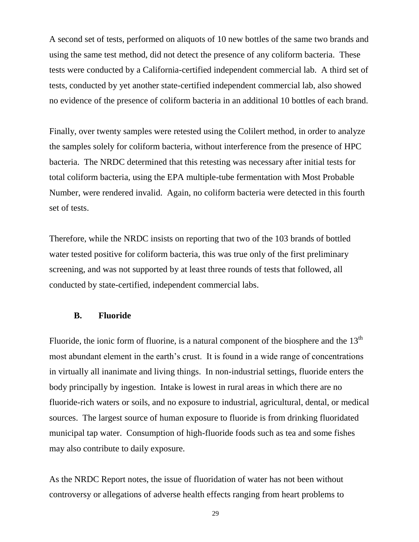A second set of tests, performed on aliquots of 10 new bottles of the same two brands and using the same test method, did not detect the presence of any coliform bacteria. These tests were conducted by a California-certified independent commercial lab. A third set of tests, conducted by yet another state-certified independent commercial lab, also showed no evidence of the presence of coliform bacteria in an additional 10 bottles of each brand.

Finally, over twenty samples were retested using the Colilert method, in order to analyze the samples solely for coliform bacteria, without interference from the presence of HPC bacteria. The NRDC determined that this retesting was necessary after initial tests for total coliform bacteria, using the EPA multiple-tube fermentation with Most Probable Number, were rendered invalid. Again, no coliform bacteria were detected in this fourth set of tests.

Therefore, while the NRDC insists on reporting that two of the 103 brands of bottled water tested positive for coliform bacteria, this was true only of the first preliminary screening, and was not supported by at least three rounds of tests that followed, all conducted by state-certified, independent commercial labs.

#### **B. Fluoride**

Fluoride, the ionic form of fluorine, is a natural component of the biosphere and the  $13<sup>th</sup>$ most abundant element in the earth's crust. It is found in a wide range of concentrations in virtually all inanimate and living things. In non-industrial settings, fluoride enters the body principally by ingestion. Intake is lowest in rural areas in which there are no fluoride-rich waters or soils, and no exposure to industrial, agricultural, dental, or medical sources. The largest source of human exposure to fluoride is from drinking fluoridated municipal tap water. Consumption of high-fluoride foods such as tea and some fishes may also contribute to daily exposure.

As the NRDC Report notes, the issue of fluoridation of water has not been without controversy or allegations of adverse health effects ranging from heart problems to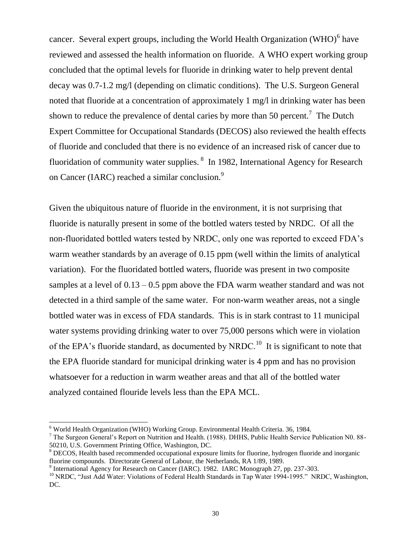cancer. Several expert groups, including the World Health Organization (WHO) $<sup>6</sup>$  have</sup> reviewed and assessed the health information on fluoride. A WHO expert working group concluded that the optimal levels for fluoride in drinking water to help prevent dental decay was 0.7-1.2 mg/l (depending on climatic conditions). The U.S. Surgeon General noted that fluoride at a concentration of approximately 1 mg/l in drinking water has been shown to reduce the prevalence of dental caries by more than 50 percent.<sup>7</sup> The Dutch Expert Committee for Occupational Standards (DECOS) also reviewed the health effects of fluoride and concluded that there is no evidence of an increased risk of cancer due to fluoridation of community water supplies. <sup>8</sup> In 1982, International Agency for Research on Cancer (IARC) reached a similar conclusion.<sup>9</sup>

Given the ubiquitous nature of fluoride in the environment, it is not surprising that fluoride is naturally present in some of the bottled waters tested by NRDC. Of all the non-fluoridated bottled waters tested by NRDC, only one was reported to exceed FDA's warm weather standards by an average of 0.15 ppm (well within the limits of analytical variation). For the fluoridated bottled waters, fluoride was present in two composite samples at a level of  $0.13 - 0.5$  ppm above the FDA warm weather standard and was not detected in a third sample of the same water. For non-warm weather areas, not a single bottled water was in excess of FDA standards. This is in stark contrast to 11 municipal water systems providing drinking water to over 75,000 persons which were in violation of the EPA's fluoride standard, as documented by NRDC.<sup>10</sup> It is significant to note that the EPA fluoride standard for municipal drinking water is 4 ppm and has no provision whatsoever for a reduction in warm weather areas and that all of the bottled water analyzed contained flouride levels less than the EPA MCL.

l

<sup>6</sup> World Health Organization (WHO) Working Group. Environmental Health Criteria. 36, 1984.

<sup>7</sup> The Surgeon General's Report on Nutrition and Health. (1988). DHHS, Public Health Service Publication N0. 88- 50210, U.S. Government Printing Office, Washington, DC.

<sup>8</sup> DECOS, Health based recommended occupational exposure limits for fluorine, hydrogen fluoride and inorganic fluorine compounds. Directorate General of Labour, the Netherlands, RA 1/89, 1989.

<sup>&</sup>lt;sup>9</sup> International Agency for Research on Cancer (IARC). 1982. IARC Monograph 27, pp. 237-303.

<sup>&</sup>lt;sup>10</sup> NRDC, "Just Add Water: Violations of Federal Health Standards in Tap Water 1994-1995." NRDC, Washington, DC.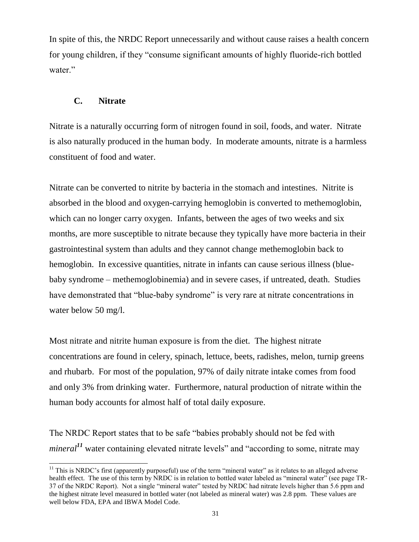In spite of this, the NRDC Report unnecessarily and without cause raises a health concern for young children, if they "consume significant amounts of highly fluoride-rich bottled water."

# **C. Nitrate**

Nitrate is a naturally occurring form of nitrogen found in soil, foods, and water. Nitrate is also naturally produced in the human body. In moderate amounts, nitrate is a harmless constituent of food and water.

Nitrate can be converted to nitrite by bacteria in the stomach and intestines. Nitrite is absorbed in the blood and oxygen-carrying hemoglobin is converted to methemoglobin, which can no longer carry oxygen. Infants, between the ages of two weeks and six months, are more susceptible to nitrate because they typically have more bacteria in their gastrointestinal system than adults and they cannot change methemoglobin back to hemoglobin. In excessive quantities, nitrate in infants can cause serious illness (bluebaby syndrome – methemoglobinemia) and in severe cases, if untreated, death. Studies have demonstrated that "blue-baby syndrome" is very rare at nitrate concentrations in water below 50 mg/l.

Most nitrate and nitrite human exposure is from the diet. The highest nitrate concentrations are found in celery, spinach, lettuce, beets, radishes, melon, turnip greens and rhubarb. For most of the population, 97% of daily nitrate intake comes from food and only 3% from drinking water. Furthermore, natural production of nitrate within the human body accounts for almost half of total daily exposure.

The NRDC Report states that to be safe "babies probably should not be fed with *mineral*<sup>11</sup> water containing elevated nitrate levels" and "according to some, nitrate may

 $\overline{a}$ <sup>11</sup> This is NRDC's first (apparently purposeful) use of the term "mineral water" as it relates to an alleged adverse health effect. The use of this term by NRDC is in relation to bottled water labeled as "mineral water" (see page TR-37 of the NRDC Report). Not a single "mineral water" tested by NRDC had nitrate levels higher than 5.6 ppm and the highest nitrate level measured in bottled water (not labeled as mineral water) was 2.8 ppm. These values are well below FDA, EPA and IBWA Model Code.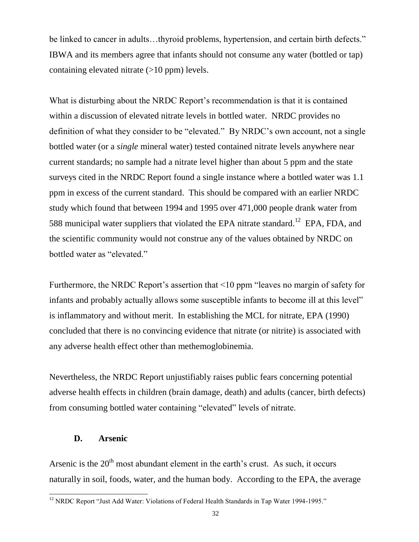be linked to cancer in adults...thyroid problems, hypertension, and certain birth defects." IBWA and its members agree that infants should not consume any water (bottled or tap) containing elevated nitrate  $(>10$  ppm) levels.

What is disturbing about the NRDC Report's recommendation is that it is contained within a discussion of elevated nitrate levels in bottled water. NRDC provides no definition of what they consider to be "elevated." By NRDC's own account, not a single bottled water (or a *single* mineral water) tested contained nitrate levels anywhere near current standards; no sample had a nitrate level higher than about 5 ppm and the state surveys cited in the NRDC Report found a single instance where a bottled water was 1.1 ppm in excess of the current standard. This should be compared with an earlier NRDC study which found that between 1994 and 1995 over 471,000 people drank water from 588 municipal water suppliers that violated the EPA nitrate standard.<sup>12</sup> EPA, FDA, and the scientific community would not construe any of the values obtained by NRDC on bottled water as "elevated."

Furthermore, the NRDC Report's assertion that <10 ppm "leaves no margin of safety for infants and probably actually allows some susceptible infants to become ill at this level" is inflammatory and without merit. In establishing the MCL for nitrate, EPA (1990) concluded that there is no convincing evidence that nitrate (or nitrite) is associated with any adverse health effect other than methemoglobinemia.

Nevertheless, the NRDC Report unjustifiably raises public fears concerning potential adverse health effects in children (brain damage, death) and adults (cancer, birth defects) from consuming bottled water containing "elevated" levels of nitrate.

### **D. Arsenic**

l

Arsenic is the  $20<sup>th</sup>$  most abundant element in the earth's crust. As such, it occurs naturally in soil, foods, water, and the human body. According to the EPA, the average

<sup>&</sup>lt;sup>12</sup> NRDC Report "Just Add Water: Violations of Federal Health Standards in Tap Water 1994-1995."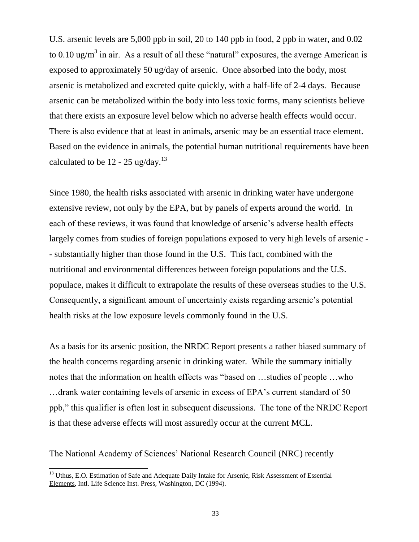U.S. arsenic levels are 5,000 ppb in soil, 20 to 140 ppb in food, 2 ppb in water, and 0.02 to 0.10 ug/m<sup>3</sup> in air. As a result of all these "natural" exposures, the average American is exposed to approximately 50 ug/day of arsenic. Once absorbed into the body, most arsenic is metabolized and excreted quite quickly, with a half-life of 2-4 days. Because arsenic can be metabolized within the body into less toxic forms, many scientists believe that there exists an exposure level below which no adverse health effects would occur. There is also evidence that at least in animals, arsenic may be an essential trace element. Based on the evidence in animals, the potential human nutritional requirements have been calculated to be  $12 - 25$  ug/day.<sup>13</sup>

Since 1980, the health risks associated with arsenic in drinking water have undergone extensive review, not only by the EPA, but by panels of experts around the world. In each of these reviews, it was found that knowledge of arsenic's adverse health effects largely comes from studies of foreign populations exposed to very high levels of arsenic - - substantially higher than those found in the U.S. This fact, combined with the nutritional and environmental differences between foreign populations and the U.S. populace, makes it difficult to extrapolate the results of these overseas studies to the U.S. Consequently, a significant amount of uncertainty exists regarding arsenic's potential health risks at the low exposure levels commonly found in the U.S.

As a basis for its arsenic position, the NRDC Report presents a rather biased summary of the health concerns regarding arsenic in drinking water. While the summary initially notes that the information on health effects was "based on …studies of people …who …drank water containing levels of arsenic in excess of EPA's current standard of 50 ppb," this qualifier is often lost in subsequent discussions. The tone of the NRDC Report is that these adverse effects will most assuredly occur at the current MCL.

The National Academy of Sciences' National Research Council (NRC) recently

 $\overline{a}$ 

<sup>&</sup>lt;sup>13</sup> Uthus, E.O. Estimation of Safe and Adequate Daily Intake for Arsenic, Risk Assessment of Essential Elements, Intl. Life Science Inst. Press, Washington, DC (1994).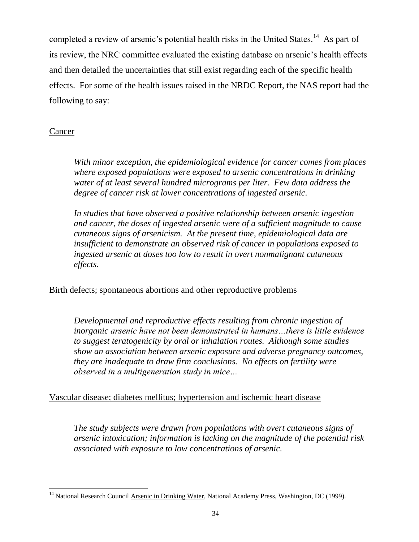completed a review of arsenic's potential health risks in the United States.<sup>14</sup> As part of its review, the NRC committee evaluated the existing database on arsenic's health effects and then detailed the uncertainties that still exist regarding each of the specific health effects. For some of the health issues raised in the NRDC Report, the NAS report had the following to say:

# Cancer

*With minor exception, the epidemiological evidence for cancer comes from places where exposed populations were exposed to arsenic concentrations in drinking water of at least several hundred micrograms per liter. Few data address the degree of cancer risk at lower concentrations of ingested arsenic.* 

*In studies that have observed a positive relationship between arsenic ingestion and cancer, the doses of ingested arsenic were of a sufficient magnitude to cause cutaneous signs of arsenicism. At the present time, epidemiological data are insufficient to demonstrate an observed risk of cancer in populations exposed to ingested arsenic at doses too low to result in overt nonmalignant cutaneous effects*.

# Birth defects; spontaneous abortions and other reproductive problems

*Developmental and reproductive effects resulting from chronic ingestion of inorganic arsenic have not been demonstrated in humans…there is little evidence to suggest teratogenicity by oral or inhalation routes. Although some studies show an association between arsenic exposure and adverse pregnancy outcomes, they are inadequate to draw firm conclusions. No effects on fertility were observed in a multigeneration study in mice…*

# Vascular disease; diabetes mellitus; hypertension and ischemic heart disease

*The study subjects were drawn from populations with overt cutaneous signs of arsenic intoxication; information is lacking on the magnitude of the potential risk associated with exposure to low concentrations of arsenic.* 

 $\overline{a}$ <sup>14</sup> National Research Council Arsenic in Drinking Water, National Academy Press, Washington, DC (1999).